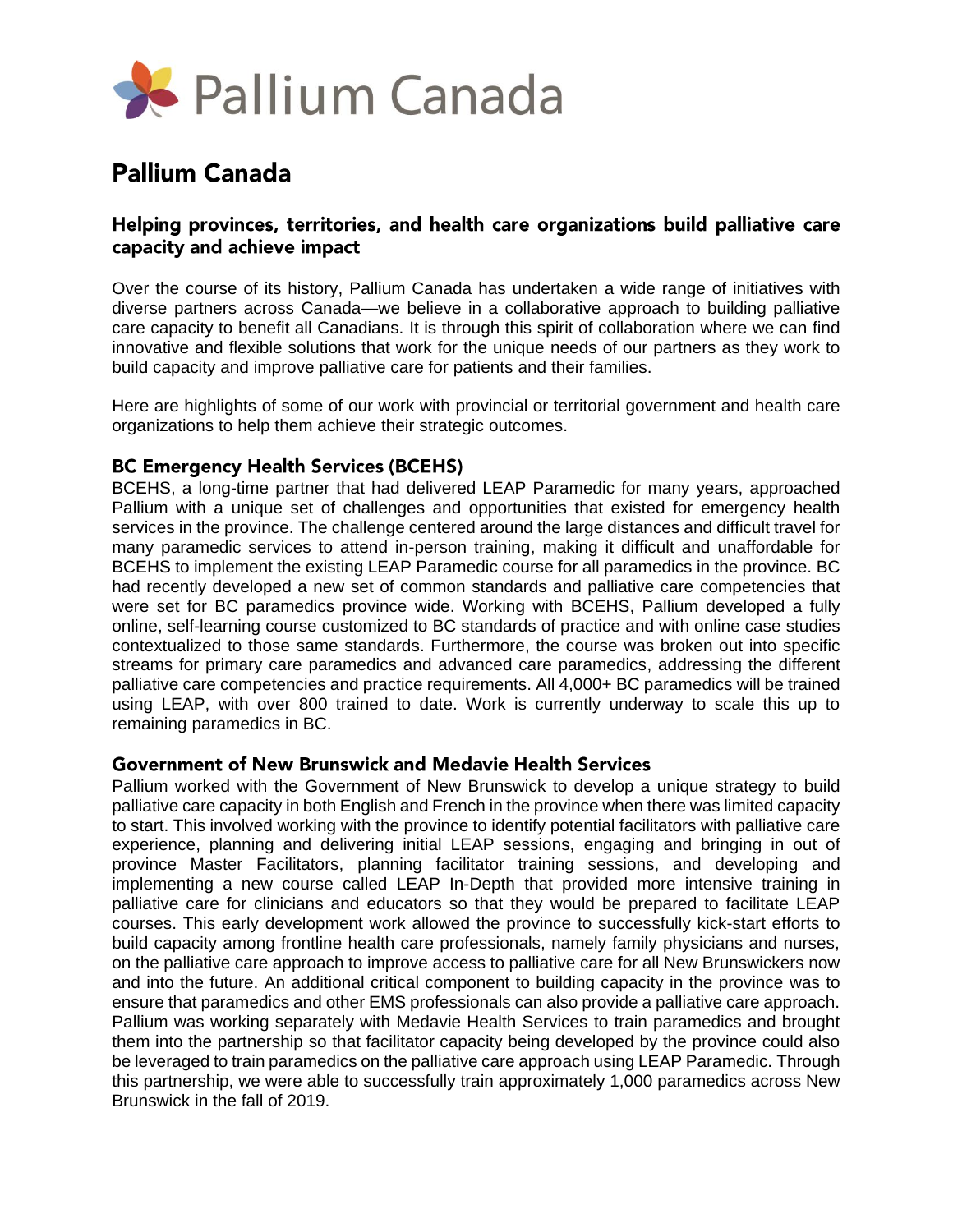

# **Pallium Canada**

## Helping provinces, territories, and health care organizations build palliative care capacity and achieve impact

Over the course of its history, Pallium Canada has undertaken a wide range of initiatives with diverse partners across Canada—we believe in a collaborative approach to building palliative care capacity to benefit all Canadians. It is through this spirit of collaboration where we can find innovative and flexible solutions that work for the unique needs of our partners as they work to build capacity and improve palliative care for patients and their families.

Here are highlights of some of our work with provincial or territorial government and health care organizations to help them achieve their strategic outcomes.

### **BC Emergency Health Services (BCEHS)**

BCEHS, a long-time partner that had delivered LEAP Paramedic for many years, approached Pallium with a unique set of challenges and opportunities that existed for emergency health services in the province. The challenge centered around the large distances and difficult travel for many paramedic services to attend in-person training, making it difficult and unaffordable for BCEHS to implement the existing LEAP Paramedic course for all paramedics in the province. BC had recently developed a new set of common standards and palliative care competencies that were set for BC paramedics province wide. Working with BCEHS, Pallium developed a fully online, self-learning course customized to BC standards of practice and with online case studies contextualized to those same standards. Furthermore, the course was broken out into specific streams for primary care paramedics and advanced care paramedics, addressing the different palliative care competencies and practice requirements. All 4,000+ BC paramedics will be trained using LEAP, with over 800 trained to date. Work is currently underway to scale this up to remaining paramedics in BC.

#### Government of New Brunswick and Medavie Health Services

Pallium worked with the Government of New Brunswick to develop a unique strategy to build palliative care capacity in both English and French in the province when there was limited capacity to start. This involved working with the province to identify potential facilitators with palliative care experience, planning and delivering initial LEAP sessions, engaging and bringing in out of province Master Facilitators, planning facilitator training sessions, and developing and implementing a new course called LEAP In-Depth that provided more intensive training in palliative care for clinicians and educators so that they would be prepared to facilitate LEAP courses. This early development work allowed the province to successfully kick-start efforts to build capacity among frontline health care professionals, namely family physicians and nurses, on the palliative care approach to improve access to palliative care for all New Brunswickers now and into the future. An additional critical component to building capacity in the province was to ensure that paramedics and other EMS professionals can also provide a palliative care approach. Pallium was working separately with Medavie Health Services to train paramedics and brought them into the partnership so that facilitator capacity being developed by the province could also be leveraged to train paramedics on the palliative care approach using LEAP Paramedic. Through this partnership, we were able to successfully train approximately 1,000 paramedics across New Brunswick in the fall of 2019.